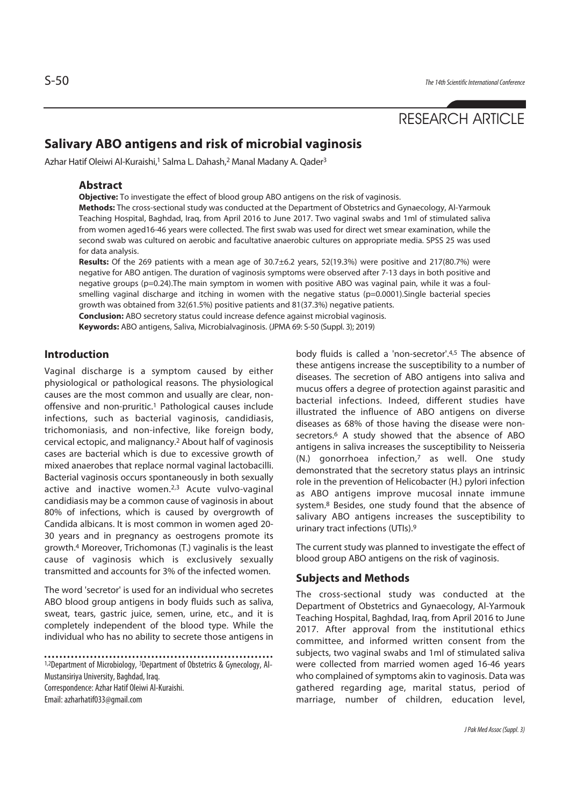# RESEARCH ARTICLE

## **Salivary ABO antigens and risk of microbial vaginosis**

Azhar Hatif Oleiwi Al-Kuraishi,<sup>1</sup> Salma L. Dahash,<sup>2</sup> Manal Madany A. Qader<sup>3</sup>

### **Abstract**

**Objective:** To investigate the effect of blood group ABO antigens on the risk of vaginosis.

**Methods:** The cross-sectional study was conducted at the Department of Obstetrics and Gynaecology, Al-Yarmouk Teaching Hospital, Baghdad, Iraq, from April 2016 to June 2017. Two vaginal swabs and 1ml of stimulated saliva from women aged16-46 years were collected. The first swab was used for direct wet smear examination, while the second swab was cultured on aerobic and facultative anaerobic cultures on appropriate media. SPSS 25 was used for data analysis.

**Results:** Of the 269 patients with a mean age of 30.7±6.2 years, 52(19.3%) were positive and 217(80.7%) were negative for ABO antigen. The duration of vaginosis symptoms were observed after 7-13 days in both positive and negative groups (p=0.24).The main symptom in women with positive ABO was vaginal pain, while it was a foulsmelling vaginal discharge and itching in women with the negative status (p=0.0001). Single bacterial species growth was obtained from 32(61.5%) positive patients and 81(37.3%) negative patients.

**Conclusion:** ABO secretory status could increase defence against microbial vaginosis.

**Keywords:** ABO antigens, Saliva, Microbialvaginosis. (JPMA 69: S-50 (Suppl. 3); 2019)

### **Introduction**

Vaginal discharge is a symptom caused by either physiological or pathological reasons. The physiological causes are the most common and usually are clear, nonoffensive and non-pruritic.1 Pathological causes include infections, such as bacterial vaginosis, candidiasis, trichomoniasis, and non-infective, like foreign body, cervical ectopic, and malignancy.2 About half of vaginosis cases are bacterial which is due to excessive growth of mixed anaerobes that replace normal vaginal lactobacilli. Bacterial vaginosis occurs spontaneously in both sexually active and inactive women.2,3 Acute vulvo-vaginal candidiasis may be a common cause of vaginosis in about 80% of infections, which is caused by overgrowth of Candida albicans. It is most common in women aged 20- 30 years and in pregnancy as oestrogens promote its growth.4 Moreover, Trichomonas (T.) vaginalis is the least cause of vaginosis which is exclusively sexually transmitted and accounts for 3% of the infected women.

The word 'secretor' is used for an individual who secretes ABO blood group antigens in body fluids such as saliva, sweat, tears, gastric juice, semen, urine, etc., and it is completely independent of the blood type. While the individual who has no ability to secrete those antigens in

1,2Department of Microbiology, 3Department of Obstetrics & Gynecology, Al-Mustansiriya University, Baghdad, Iraq.

Correspondence: Azhar Hatif Oleiwi Al-Kuraishi.

Email: azharhatif033@gmail.com

body fluids is called a 'non-secretor'.4,5 The absence of these antigens increase the susceptibility to a number of diseases. The secretion of ABO antigens into saliva and mucus offers a degree of protection against parasitic and bacterial infections. Indeed, different studies have illustrated the influence of ABO antigens on diverse diseases as 68% of those having the disease were nonsecretors.<sup>6</sup> A study showed that the absence of ABO antigens in saliva increases the susceptibility to Neisseria (N.) gonorrhoea infection,7 as well. One study demonstrated that the secretory status plays an intrinsic role in the prevention of Helicobacter (H.) pylori infection as ABO antigens improve mucosal innate immune system.8 Besides, one study found that the absence of salivary ABO antigens increases the susceptibility to urinary tract infections (UTIs).9

The current study was planned to investigate the effect of blood group ABO antigens on the risk of vaginosis.

### **Subjects and Methods**

The cross-sectional study was conducted at the Department of Obstetrics and Gynaecology, Al-Yarmouk Teaching Hospital, Baghdad, Iraq, from April 2016 to June 2017. After approval from the institutional ethics committee, and informed written consent from the subjects, two vaginal swabs and 1ml of stimulated saliva were collected from married women aged 16-46 years who complained of symptoms akin to vaginosis. Data was gathered regarding age, marital status, period of marriage, number of children, education level,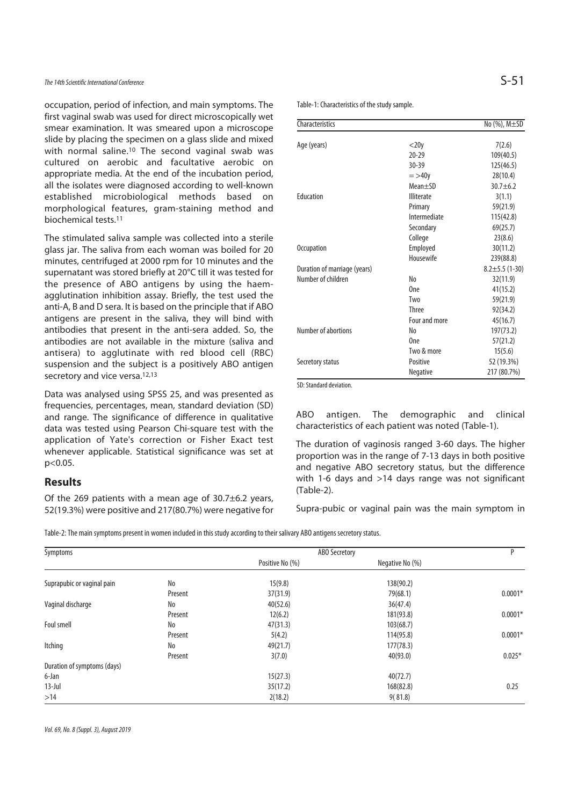### The 14th Scientific International Conference

occupation, period of infection, and main symptoms. The first vaginal swab was used for direct microscopically wet smear examination. It was smeared upon a microscope slide by placing the specimen on a glass slide and mixed with normal saline.10 The second vaginal swab was cultured on aerobic and facultative aerobic on appropriate media. At the end of the incubation period, all the isolates were diagnosed according to well-known established microbiological methods based on morphological features, gram-staining method and biochemical tests.11

The stimulated saliva sample was collected into a sterile glass jar. The saliva from each woman was boiled for 20 minutes, centrifuged at 2000 rpm for 10 minutes and the supernatant was stored briefly at 20°C till it was tested for the presence of ABO antigens by using the haemagglutination inhibition assay. Briefly, the test used the anti-A, B and D sera. It is based on the principle that if ABO antigens are present in the saliva, they will bind with antibodies that present in the anti-sera added. So, the antibodies are not available in the mixture (saliva and antisera) to agglutinate with red blood cell (RBC) suspension and the subject is a positively ABO antigen secretory and vice versa.<sup>12,13</sup>

Data was analysed using SPSS 25, and was presented as frequencies, percentages, mean, standard deviation (SD) and range. The significance of difference in qualitative data was tested using Pearson Chi-square test with the application of Yate's correction or Fisher Exact test whenever applicable. Statistical significance was set at p<0.05.

### **Results**

Of the 269 patients with a mean age of 30.7±6.2 years, 52(19.3%) were positive and 217(80.7%) were negative for

| .<br>w         |                |  |
|----------------|----------------|--|
| __<br>۹<br>- 3 | ۰.<br>۰.<br>×. |  |

Table-1: Characteristics of the study sample.

| Characteristics              |                   | No (%), M±SD         |
|------------------------------|-------------------|----------------------|
|                              |                   |                      |
| Age (years)                  | $<$ 20y           | 7(2.6)               |
|                              | $20 - 29$         | 109(40.5)            |
|                              | $30 - 39$         | 125(46.5)            |
|                              | $=$ >40 $y$       | 28(10.4)             |
|                              | Mean±SD           | $30.7 + 6.2$         |
| Education                    | <b>Illiterate</b> | 3(1.1)               |
|                              | Primary           | 59(21.9)             |
|                              | Intermediate      | 115(42.8)            |
|                              | Secondary         | 69(25.7)             |
|                              | College           | 23(8.6)              |
| <b>Occupation</b>            | Employed          | 30(11.2)             |
|                              | Housewife         | 239(88.8)            |
| Duration of marriage (years) |                   | $8.2 \pm 5.5$ (1-30) |
| Number of children           | No                | 32(11.9)             |
|                              | One               | 41(15.2)             |
|                              | Two               | 59(21.9)             |
|                              | <b>Three</b>      | 92(34.2)             |
|                              | Four and more     | 45(16.7)             |
| Number of abortions          | No                | 197(73.2)            |
|                              | One               | 57(21.2)             |
|                              | Two & more        | 15(5.6)              |
| Secretory status             | Positive          | 52 (19.3%)           |
|                              | Negative          | 217 (80.7%)          |

SD: Standard deviation.

ABO antigen. The demographic and clinical characteristics of each patient was noted (Table-1).

The duration of vaginosis ranged 3-60 days. The higher proportion was in the range of 7-13 days in both positive and negative ABO secretory status, but the difference with 1-6 days and >14 days range was not significant (Table-2).

Supra-pubic or vaginal pain was the main symptom in

Table-2: The main symptoms present in women included in this study according to their salivary ABO antigens secretory status.

| Symptoms                    |         | ABO Secretory   |                 | P         |
|-----------------------------|---------|-----------------|-----------------|-----------|
|                             |         | Positive No (%) | Negative No (%) |           |
| Suprapubic or vaginal pain  | No      | 15(9.8)         | 138(90.2)       |           |
|                             | Present | 37(31.9)        | 79(68.1)        | $0.0001*$ |
| Vaginal discharge           | No      | 40(52.6)        | 36(47.4)        |           |
|                             | Present | 12(6.2)         | 181(93.8)       | $0.0001*$ |
| Foul smell                  | No      | 47(31.3)        | 103(68.7)       |           |
|                             | Present | 5(4.2)          | 114(95.8)       | $0.0001*$ |
| Itching                     | No      | 49(21.7)        | 177(78.3)       |           |
|                             | Present | 3(7.0)          | 40(93.0)        | $0.025*$  |
| Duration of symptoms (days) |         |                 |                 |           |
| 6-Jan                       |         | 15(27.3)        | 40(72.7)        |           |
| $13$ -Jul                   |         | 35(17.2)        | 168(82.8)       | 0.25      |
| >14                         |         | 2(18.2)         | 9(81.8)         |           |

Vol. 69, No. 8 (Suppl. 3), August 2019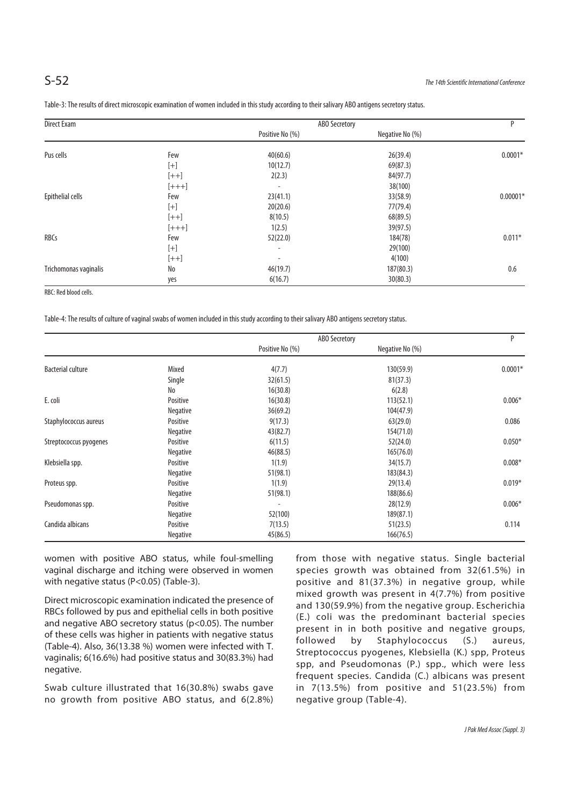| Direct Exam           |         | <b>ABO Secretory</b>     |                 | P          |
|-----------------------|---------|--------------------------|-----------------|------------|
|                       |         | Positive No (%)          | Negative No (%) |            |
| Pus cells             | Few     | 40(60.6)                 | 26(39.4)        | $0.0001*$  |
|                       | $[+]$   | 10(12.7)                 | 69(87.3)        |            |
|                       | $[++]$  | 2(2.3)                   | 84(97.7)        |            |
|                       | $[+++]$ | $\overline{\phantom{a}}$ | 38(100)         |            |
| Epithelial cells      | Few     | 23(41.1)                 | 33(58.9)        | $0.00001*$ |
|                       | $[+]$   | 20(20.6)                 | 77(79.4)        |            |
|                       | $[++]$  | 8(10.5)                  | 68(89.5)        |            |
|                       | $[+++]$ | 1(2.5)                   | 39(97.5)        |            |
| RBCs                  | Few     | 52(22.0)                 | 184(78)         | $0.011*$   |
|                       | $[+]$   | $\overline{\phantom{a}}$ | 29(100)         |            |
|                       | $[++]$  | $\overline{\phantom{a}}$ | 4(100)          |            |
| Trichomonas vaginalis | No      | 46(19.7)                 | 187(80.3)       | 0.6        |
|                       | yes     | 6(16.7)                  | 30(80.3)        |            |

Table-3: The results of direct microscopic examination of women included in this study according to their salivary ABO antigens secretory status.

RBC: Red blood cells.

Table-4: The results of culture of vaginal swabs of women included in this study according to their salivary ABO antigens secretory status.

|                          |          | ABO Secretory   |                 | P         |
|--------------------------|----------|-----------------|-----------------|-----------|
|                          |          | Positive No (%) | Negative No (%) |           |
| <b>Bacterial culture</b> | Mixed    | 4(7.7)          | 130(59.9)       | $0.0001*$ |
|                          | Single   | 32(61.5)        | 81(37.3)        |           |
|                          | No       | 16(30.8)        | 6(2.8)          |           |
| E. coli                  | Positive | 16(30.8)        | 113(52.1)       | $0.006*$  |
|                          | Negative | 36(69.2)        | 104(47.9)       |           |
| Staphylococcus aureus    | Positive | 9(17.3)         | 63(29.0)        | 0.086     |
|                          | Negative | 43(82.7)        | 154(71.0)       |           |
| Streptococcus pyogenes   | Positive | 6(11.5)         | 52(24.0)        | $0.050*$  |
|                          | Negative | 46(88.5)        | 165(76.0)       |           |
| Klebsiella spp.          | Positive | 1(1.9)          | 34(15.7)        | $0.008*$  |
|                          | Negative | 51(98.1)        | 183(84.3)       |           |
| Proteus spp.             | Positive | 1(1.9)          | 29(13.4)        | $0.019*$  |
|                          | Negative | 51(98.1)        | 188(86.6)       |           |
| Pseudomonas spp.         | Positive |                 | 28(12.9)        | $0.006*$  |
|                          | Negative | 52(100)         | 189(87.1)       |           |
| Candida albicans         | Positive | 7(13.5)         | 51(23.5)        | 0.114     |
|                          | Negative | 45(86.5)        | 166(76.5)       |           |

women with positive ABO status, while foul-smelling vaginal discharge and itching were observed in women with negative status (P<0.05) (Table-3).

Direct microscopic examination indicated the presence of RBCs followed by pus and epithelial cells in both positive and negative ABO secretory status ( $p$ <0.05). The number of these cells was higher in patients with negative status (Table-4). Also, 36(13.38 %) women were infected with T. vaginalis; 6(16.6%) had positive status and 30(83.3%) had negative.

Swab culture illustrated that 16(30.8%) swabs gave no growth from positive ABO status, and 6(2.8%) from those with negative status. Single bacterial species growth was obtained from 32(61.5%) in positive and 81(37.3%) in negative group, while mixed growth was present in 4(7.7%) from positive and 130(59.9%) from the negative group. Escherichia (E.) coli was the predominant bacterial species present in in both positive and negative groups, followed by Staphylococcus (S.) aureus, Streptococcus pyogenes, Klebsiella (K.) spp, Proteus spp, and Pseudomonas (P.) spp., which were less frequent species. Candida (C.) albicans was present in 7(13.5%) from positive and 51(23.5%) from negative group (Table-4).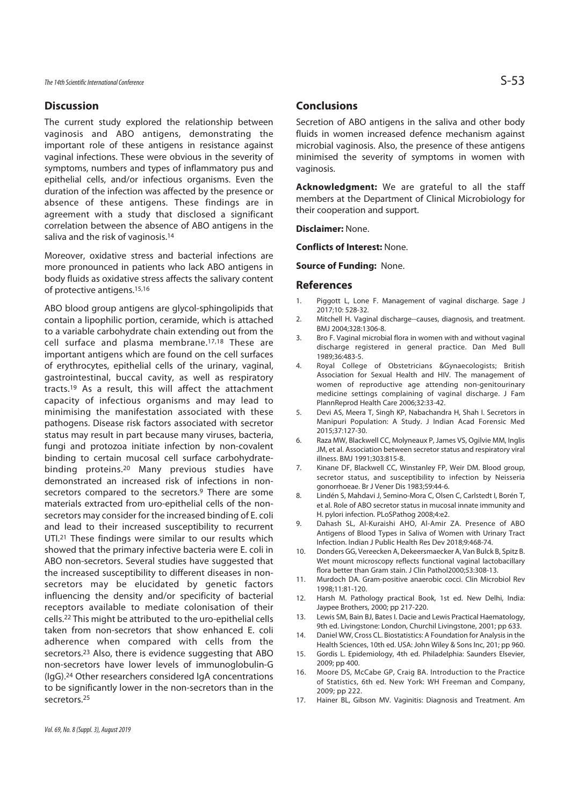### **Discussion**

The current study explored the relationship between vaginosis and ABO antigens, demonstrating the important role of these antigens in resistance against vaginal infections. These were obvious in the severity of symptoms, numbers and types of inflammatory pus and epithelial cells, and/or infectious organisms. Even the duration of the infection was affected by the presence or absence of these antigens. These findings are in agreement with a study that disclosed a significant correlation between the absence of ABO antigens in the saliva and the risk of vaginosis.<sup>14</sup>

Moreover, oxidative stress and bacterial infections are more pronounced in patients who lack ABO antigens in body fluids as oxidative stress affects the salivary content of protective antigens.15,16

ABO blood group antigens are glycol-sphingolipids that contain a lipophilic portion, ceramide, which is attached to a variable carbohydrate chain extending out from the cell surface and plasma membrane.17,18 These are important antigens which are found on the cell surfaces of erythrocytes, epithelial cells of the urinary, vaginal, gastrointestinal, buccal cavity, as well as respiratory tracts.19 As a result, this will affect the attachment capacity of infectious organisms and may lead to minimising the manifestation associated with these pathogens. Disease risk factors associated with secretor status may result in part because many viruses, bacteria, fungi and protozoa initiate infection by non-covalent binding to certain mucosal cell surface carbohydratebinding proteins.20 Many previous studies have demonstrated an increased risk of infections in nonsecretors compared to the secretors.<sup>9</sup> There are some materials extracted from uro-epithelial cells of the nonsecretors may consider for the increased binding of E. coli and lead to their increased susceptibility to recurrent UTI.21 These findings were similar to our results which showed that the primary infective bacteria were E. coli in ABO non-secretors. Several studies have suggested that the increased susceptibility to different diseases in nonsecretors may be elucidated by genetic factors influencing the density and/or specificity of bacterial receptors available to mediate colonisation of their cells.22 This might be attributed to the uro-epithelial cells taken from non-secretors that show enhanced E. coli adherence when compared with cells from the secretors.23 Also, there is evidence suggesting that ABO non-secretors have lower levels of immunoglobulin-G (IgG).24 Other researchers considered IgA concentrations to be significantly lower in the non-secretors than in the secretors.25

### **Conclusions**

Secretion of ABO antigens in the saliva and other body fluids in women increased defence mechanism against microbial vaginosis. Also, the presence of these antigens minimised the severity of symptoms in women with vaginosis.

**Acknowledgment:** We are grateful to all the staff members at the Department of Clinical Microbiology for their cooperation and support.

**Disclaimer:** None.

**Conflicts of Interest:** None.

**Source of Funding:** None.

### **References**

- 1. Piggott L, Lone F. Management of vaginal discharge. Sage J 2017;10: 528-32.
- 2. Mitchell H. Vaginal discharge--causes, diagnosis, and treatment. BMJ 2004;328:1306-8.
- 3. Bro F. Vaginal microbial flora in women with and without vaginal discharge registered in general practice. Dan Med Bull 1989;36:483-5.
- 4. Royal College of Obstetricians &Gynaecologists; British Association for Sexual Health and HIV. The management of women of reproductive age attending non-genitourinary medicine settings complaining of vaginal discharge. J Fam PlannReprod Health Care 2006;32:33-42.
- 5. Devi AS, Meera T, Singh KP, Nabachandra H, Shah I. Secretors in Manipuri Population: A Study. J Indian Acad Forensic Med 2015;37:127-30.
- 6. Raza MW, Blackwell CC, Molyneaux P, James VS, Ogilvie MM, Inglis JM, et al. Association between secretor status and respiratory viral illness. BMJ 1991;303:815-8.
- 7. Kinane DF, Blackwell CC, Winstanley FP, Weir DM. Blood group, secretor status, and susceptibility to infection by Neisseria gonorrhoeae. Br J Vener Dis 1983;59:44-6.
- 8. Lindén S, Mahdavi J, Semino-Mora C, Olsen C, Carlstedt I, Borén T, et al. Role of ABO secretor status in mucosal innate immunity and H. pylori infection. PLoSPathog 2008;4:e2.
- 9. Dahash SL, Al-Kuraishi AHO, Al-Amir ZA. Presence of ABO Antigens of Blood Types in Saliva of Women with Urinary Tract Infection. Indian J Public Health Res Dev 2018;9:468-74.
- 10. Donders GG, Vereecken A, Dekeersmaecker A, Van Bulck B, Spitz B. Wet mount microscopy reflects functional vaginal lactobacillary flora better than Gram stain. J Clin Pathol2000;53:308-13.
- 11. Murdoch DA. Gram-positive anaerobic cocci. Clin Microbiol Rev 1998;11:81-120.
- 12. Harsh M. Pathology practical Book, 1st ed. New Delhi, India: Jaypee Brothers, 2000; pp 217-220.
- 13. Lewis SM, Bain BJ, Bates I. Dacie and Lewis Practical Haematology, 9th ed. Livingstone: London, Churchil Livingstone, 2001; pp 633.
- 14. Daniel WW, Cross CL. Biostatistics: A Foundation for Analysis in the Health Sciences, 10th ed. USA: John Wiley & Sons Inc, 201; pp 960.
- 15. Gordis L. Epidemiology, 4th ed. Philadelphia: Saunders Elsevier, 2009; pp 400.
- 16. Moore DS, McCabe GP, Craig BA. Introduction to the Practice of Statistics, 6th ed. New York: WH Freeman and Company, 2009; pp 222.
- 17. Hainer BL, Gibson MV. Vaginitis: Diagnosis and Treatment. Am